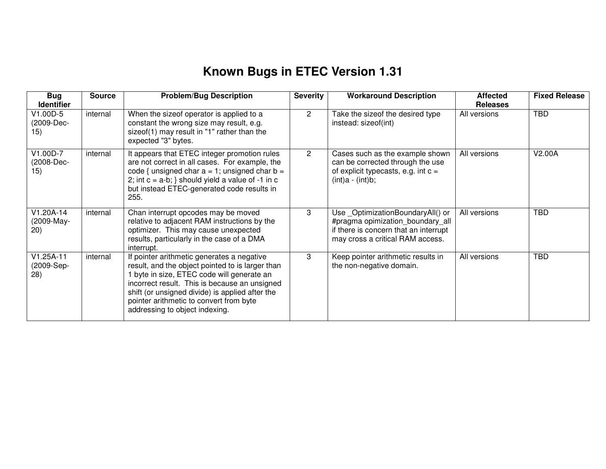## **Known Bugs in ETEC Version 1.31**

| <b>Bug</b><br><b>Identifier</b>   | <b>Source</b> | <b>Problem/Bug Description</b>                                                                                                                                                                                                                                                                                                | <b>Severity</b> | <b>Workaround Description</b>                                                                                                                      | <b>Affected</b><br><b>Releases</b> | <b>Fixed Release</b> |
|-----------------------------------|---------------|-------------------------------------------------------------------------------------------------------------------------------------------------------------------------------------------------------------------------------------------------------------------------------------------------------------------------------|-----------------|----------------------------------------------------------------------------------------------------------------------------------------------------|------------------------------------|----------------------|
| V1.00D-5<br>(2009-Dec-<br>15)     | internal      | When the sizeof operator is applied to a<br>constant the wrong size may result, e.g.<br>sizeof(1) may result in "1" rather than the<br>expected "3" bytes.                                                                                                                                                                    | $\overline{2}$  | Take the sizeof the desired type<br>instead: sizeof(int)                                                                                           | All versions                       | <b>TBD</b>           |
| V1.00D-7<br>(2008-Dec-<br>15)     | internal      | It appears that ETEC integer promotion rules<br>are not correct in all cases. For example, the<br>code { unsigned char $a = 1$ ; unsigned char $b =$<br>2; int $c = a-b$ ; } should yield a value of -1 in $c$<br>but instead ETEC-generated code results in<br>255.                                                          | $\overline{2}$  | Cases such as the example shown<br>can be corrected through the use<br>of explicit typecasts, e.g. int $c =$<br>$(int)a - (int)b;$                 | All versions                       | V2.00A               |
| V1.20A-14<br>(2009-May-<br>(20)   | internal      | Chan interrupt opcodes may be moved<br>relative to adjacent RAM instructions by the<br>optimizer. This may cause unexpected<br>results, particularly in the case of a DMA<br>interrupt.                                                                                                                                       | 3               | Use _OptimizationBoundaryAll() or<br>#pragma opimization_boundary_all<br>if there is concern that an interrupt<br>may cross a critical RAM access. | All versions                       | <b>TBD</b>           |
| $V1.25A-11$<br>(2009-Sep-<br>(28) | internal      | If pointer arithmetic generates a negative<br>result, and the object pointed to is larger than<br>1 byte in size, ETEC code will generate an<br>incorrect result. This is because an unsigned<br>shift (or unsigned divide) is applied after the<br>pointer arithmetic to convert from byte<br>addressing to object indexing. | 3               | Keep pointer arithmetic results in<br>the non-negative domain.                                                                                     | All versions                       | <b>TBD</b>           |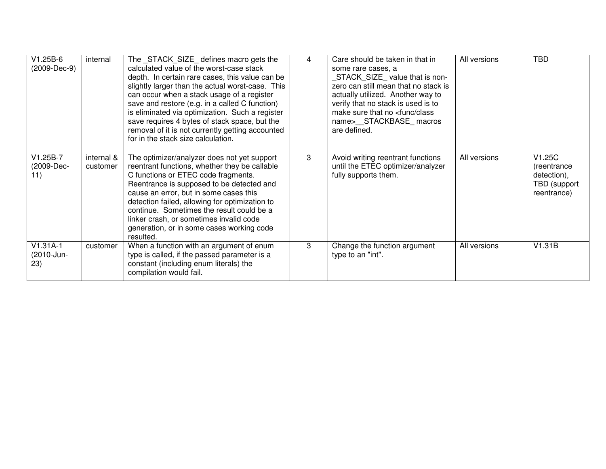| $V1.25B-6$<br>(2009-Dec-9)      | internal               | The STACK SIZE defines macro gets the<br>calculated value of the worst-case stack<br>depth. In certain rare cases, this value can be<br>slightly larger than the actual worst-case. This<br>can occur when a stack usage of a register<br>save and restore (e.g. in a called C function)<br>is eliminated via optimization. Such a register<br>save requires 4 bytes of stack space, but the<br>removal of it is not currently getting accounted<br>for in the stack size calculation. | 4 | Care should be taken in that in<br>some rare cases, a<br>STACK_SIZE_value that is non-<br>zero can still mean that no stack is<br>actually utilized. Another way to<br>verify that no stack is used is to<br>make sure that no <func class<br="">name&gt;__STACKBASE_macros<br/>are defined.</func> | All versions | <b>TBD</b>                                                          |
|---------------------------------|------------------------|----------------------------------------------------------------------------------------------------------------------------------------------------------------------------------------------------------------------------------------------------------------------------------------------------------------------------------------------------------------------------------------------------------------------------------------------------------------------------------------|---|-----------------------------------------------------------------------------------------------------------------------------------------------------------------------------------------------------------------------------------------------------------------------------------------------------|--------------|---------------------------------------------------------------------|
| $V1.25B-7$<br>(2009-Dec-<br>11) | internal &<br>customer | The optimizer/analyzer does not yet support<br>reentrant functions, whether they be callable<br>C functions or ETEC code fragments.<br>Reentrance is supposed to be detected and<br>cause an error, but in some cases this<br>detection failed, allowing for optimization to<br>continue. Sometimes the result could be a<br>linker crash, or sometimes invalid code<br>generation, or in some cases working code<br>resulted.                                                         | 3 | Avoid writing reentrant functions<br>until the ETEC optimizer/analyzer<br>fully supports them.                                                                                                                                                                                                      | All versions | V1.25C<br>(reentrance<br>detection),<br>TBD (support<br>reentrance) |
| $V1.31A-1$<br>(2010-Jun-<br>23) | customer               | When a function with an argument of enum<br>type is called, if the passed parameter is a<br>constant (including enum literals) the<br>compilation would fail.                                                                                                                                                                                                                                                                                                                          | 3 | Change the function argument<br>type to an "int".                                                                                                                                                                                                                                                   | All versions | V1.31B                                                              |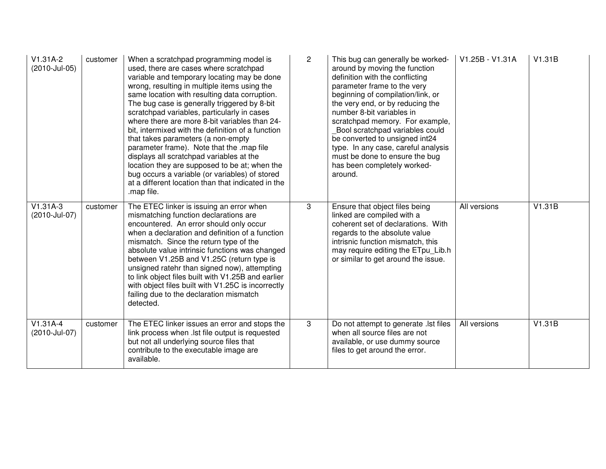| $V1.31A-2$<br>(2010-Jul-05) | customer | When a scratchpad programming model is<br>used, there are cases where scratchpad<br>variable and temporary locating may be done<br>wrong, resulting in multiple items using the<br>same location with resulting data corruption.<br>The bug case is generally triggered by 8-bit<br>scratchpad variables, particularly in cases<br>where there are more 8-bit variables than 24-<br>bit, intermixed with the definition of a function<br>that takes parameters (a non-empty<br>parameter frame). Note that the .map file<br>displays all scratchpad variables at the<br>location they are supposed to be at; when the<br>bug occurs a variable (or variables) of stored<br>at a different location than that indicated in the<br>.map file. | $\mathbf{2}$ | This bug can generally be worked-<br>around by moving the function<br>definition with the conflicting<br>parameter frame to the very<br>beginning of compilation/link, or<br>the very end, or by reducing the<br>number 8-bit variables in<br>scratchpad memory. For example,<br>Bool scratchpad variables could<br>be converted to unsigned int24<br>type. In any case, careful analysis<br>must be done to ensure the bug<br>has been completely worked-<br>around. | V1.25B - V1.31A | V1.31B |
|-----------------------------|----------|---------------------------------------------------------------------------------------------------------------------------------------------------------------------------------------------------------------------------------------------------------------------------------------------------------------------------------------------------------------------------------------------------------------------------------------------------------------------------------------------------------------------------------------------------------------------------------------------------------------------------------------------------------------------------------------------------------------------------------------------|--------------|-----------------------------------------------------------------------------------------------------------------------------------------------------------------------------------------------------------------------------------------------------------------------------------------------------------------------------------------------------------------------------------------------------------------------------------------------------------------------|-----------------|--------|
| $V1.31A-3$<br>(2010-Jul-07) | customer | The ETEC linker is issuing an error when<br>mismatching function declarations are<br>encountered. An error should only occur<br>when a declaration and definition of a function<br>mismatch. Since the return type of the<br>absolute value intrinsic functions was changed<br>between V1.25B and V1.25C (return type is<br>unsigned ratehr than signed now), attempting<br>to link object files built with V1.25B and earlier<br>with object files built with V1.25C is incorrectly<br>failing due to the declaration mismatch<br>detected.                                                                                                                                                                                                | 3            | Ensure that object files being<br>linked are compiled with a<br>coherent set of declarations. With<br>regards to the absolute value<br>intrisnic function mismatch, this<br>may require editing the ETpu_Lib.h<br>or similar to get around the issue.                                                                                                                                                                                                                 | All versions    | V1.31B |
| $V1.31A-4$<br>(2010-Jul-07) | customer | The ETEC linker issues an error and stops the<br>link process when .lst file output is requested<br>but not all underlying source files that<br>contribute to the executable image are<br>available.                                                                                                                                                                                                                                                                                                                                                                                                                                                                                                                                        | 3            | Do not attempt to generate . Ist files<br>when all source files are not<br>available, or use dummy source<br>files to get around the error.                                                                                                                                                                                                                                                                                                                           | All versions    | V1.31B |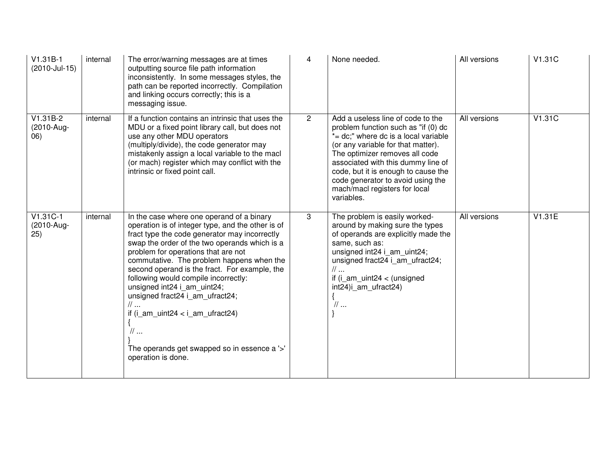| $V1.31B-1$<br>(2010-Jul-15)      | internal | The error/warning messages are at times<br>outputting source file path information<br>inconsistently. In some messages styles, the<br>path can be reported incorrectly. Compilation<br>and linking occurs correctly; this is a<br>messaging issue.                                                                                                                                                                                                                                                                                                                                               | 4              | None needed.                                                                                                                                                                                                                                                                                                                                              | All versions | V1.31C |
|----------------------------------|----------|--------------------------------------------------------------------------------------------------------------------------------------------------------------------------------------------------------------------------------------------------------------------------------------------------------------------------------------------------------------------------------------------------------------------------------------------------------------------------------------------------------------------------------------------------------------------------------------------------|----------------|-----------------------------------------------------------------------------------------------------------------------------------------------------------------------------------------------------------------------------------------------------------------------------------------------------------------------------------------------------------|--------------|--------|
| $V1.31B-2$<br>(2010-Aug-<br>(06) | internal | If a function contains an intrinsic that uses the<br>MDU or a fixed point library call, but does not<br>use any other MDU operators<br>(multiply/divide), the code generator may<br>mistakenly assign a local variable to the macl<br>(or mach) register which may conflict with the<br>intrinsic or fixed point call.                                                                                                                                                                                                                                                                           | $\overline{2}$ | Add a useless line of code to the<br>problem function such as "if (0) dc<br>*= dc;" where dc is a local variable<br>(or any variable for that matter).<br>The optimizer removes all code<br>associated with this dummy line of<br>code, but it is enough to cause the<br>code generator to avoid using the<br>mach/macl registers for local<br>variables. | All versions | V1.31C |
| $V1.31C-1$<br>(2010-Aug-<br>25)  | internal | In the case where one operand of a binary<br>operation is of integer type, and the other is of<br>fract type the code generator may incorrectly<br>swap the order of the two operands which is a<br>problem for operations that are not<br>commutative. The problem happens when the<br>second operand is the fract. For example, the<br>following would compile incorrectly:<br>unsigned int24 i_am_uint24;<br>unsigned fract24 i_am_ufract24;<br>$\mathcal U$<br>if $(i\_am\_uint24 < i\_am\_ufract24)$<br>$\mathcal{U}$<br>The operands get swapped so in essence a '>'<br>operation is done. | 3              | The problem is easily worked-<br>around by making sure the types<br>of operands are explicitly made the<br>same, such as:<br>unsigned int24 i am uint24;<br>unsigned fract24 i am ufract24;<br>$\mathcal{U}$<br>if $(i_{am\_uint24} < (unsigned$<br>int24)i_am_ufract24)<br>$\mathcal{U}$                                                                 | All versions | V1.31E |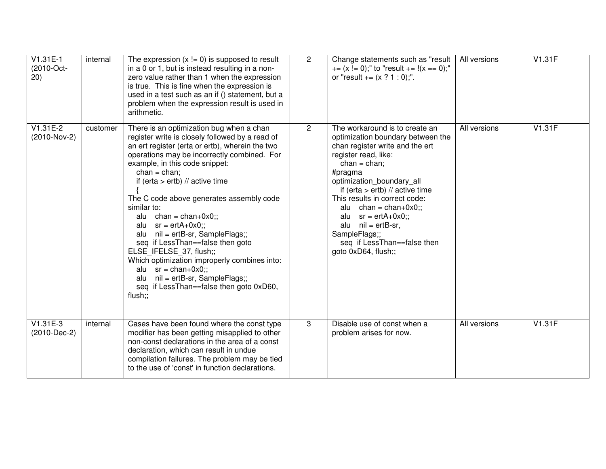| V1.31E-1<br>(2010-Oct-<br>(20) | internal | The expression $(x != 0)$ is supposed to result<br>in a 0 or 1, but is instead resulting in a non-<br>zero value rather than 1 when the expression<br>is true. This is fine when the expression is<br>used in a test such as an if () statement, but a<br>problem when the expression result is used in<br>arithmetic.                                                                                                                                                                                                                                                                                                                                                                       | $\overline{2}$ | Change statements such as "result<br>$+= (x != 0)$ ;" to "result $+= !(x == 0)$ ;"<br>or "result $+= (x ? 1 : 0)$ ;".                                                                                                                                                                                                                                                                                                           | All versions | V1.31F |
|--------------------------------|----------|----------------------------------------------------------------------------------------------------------------------------------------------------------------------------------------------------------------------------------------------------------------------------------------------------------------------------------------------------------------------------------------------------------------------------------------------------------------------------------------------------------------------------------------------------------------------------------------------------------------------------------------------------------------------------------------------|----------------|---------------------------------------------------------------------------------------------------------------------------------------------------------------------------------------------------------------------------------------------------------------------------------------------------------------------------------------------------------------------------------------------------------------------------------|--------------|--------|
| $V1.31E-2$<br>(2010-Nov-2)     | customer | There is an optimization bug when a chan<br>register write is closely followed by a read of<br>an ert register (erta or ertb), wherein the two<br>operations may be incorrectly combined. For<br>example, in this code snippet:<br>$chan = chan$ ;<br>if (erta $>$ ertb) // active time<br>The C code above generates assembly code<br>similar to:<br>alu $chan = chan + 0x0$ ;;<br>$sr = erfA+0x0$ ;;<br>alu<br>nil = ertB-sr, SampleFlags;;<br>alu<br>seq if LessThan==false then goto<br>ELSE IFELSE 37, flush;;<br>Which optimization improperly combines into:<br>alu $sr = chan + 0x0$ ;;<br>nil = ertB-sr, SampleFlags;;<br>alu<br>seq if LessThan==false then goto 0xD60,<br>flush;; | $\overline{2}$ | The workaround is to create an<br>optimization boundary between the<br>chan register write and the ert<br>register read, like:<br>$chan = chan$ ;<br>#pragma<br>optimization boundary all<br>if (erta $>$ ertb) // active time<br>This results in correct code:<br>$chan = chan + 0x0$ ;;<br>alu<br>$sr = ertA+0x0$ ;;<br>alu<br>$nil = ertB-sr,$<br>alu<br>SampleFlags;;<br>seq if LessThan==false then<br>goto 0xD64, flush;; | All versions | V1.31F |
| V1.31E-3<br>$(2010 - Dec-2)$   | internal | Cases have been found where the const type<br>modifier has been getting misapplied to other<br>non-const declarations in the area of a const<br>declaration, which can result in undue<br>compilation failures. The problem may be tied<br>to the use of 'const' in function declarations.                                                                                                                                                                                                                                                                                                                                                                                                   | 3              | Disable use of const when a<br>problem arises for now.                                                                                                                                                                                                                                                                                                                                                                          | All versions | V1.31F |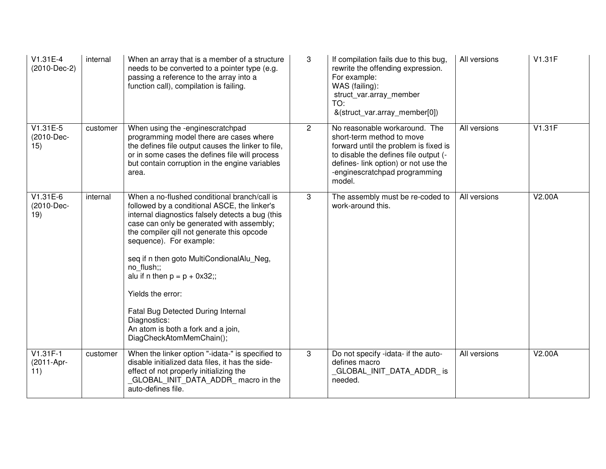| $V1.31E-4$<br>(2010-Dec-2)      | internal | When an array that is a member of a structure<br>needs to be converted to a pointer type (e.g.<br>passing a reference to the array into a<br>function call), compilation is failing.                                                                                                                                                                                                                                                                                                                              | 3            | If compilation fails due to this bug,<br>rewrite the offending expression.<br>For example:<br>WAS (failing):<br>struct_var.array_member<br>TO:<br>&(struct_var.array_member[0])                                                 | All versions | V1.31F |
|---------------------------------|----------|-------------------------------------------------------------------------------------------------------------------------------------------------------------------------------------------------------------------------------------------------------------------------------------------------------------------------------------------------------------------------------------------------------------------------------------------------------------------------------------------------------------------|--------------|---------------------------------------------------------------------------------------------------------------------------------------------------------------------------------------------------------------------------------|--------------|--------|
| $V1.31E-5$<br>(2010-Dec-<br>15) | customer | When using the -enginescratchpad<br>programming model there are cases where<br>the defines file output causes the linker to file,<br>or in some cases the defines file will process<br>but contain corruption in the engine variables<br>area.                                                                                                                                                                                                                                                                    | $\mathbf{2}$ | No reasonable workaround. The<br>short-term method to move<br>forward until the problem is fixed is<br>to disable the defines file output (-<br>defines- link option) or not use the<br>-enginescratchpad programming<br>model. | All versions | V1.31F |
| $V1.31E-6$<br>(2010-Dec-<br>19) | internal | When a no-flushed conditional branch/call is<br>followed by a conditional ASCE, the linker's<br>internal diagnostics falsely detects a bug (this<br>case can only be generated with assembly;<br>the compiler qill not generate this opcode<br>sequence). For example:<br>seq if n then goto MultiCondionalAlu_Neg,<br>no flush;;<br>alu if n then $p = p + 0x32$ ;;<br>Yields the error:<br>Fatal Bug Detected During Internal<br>Diagnostics:<br>An atom is both a fork and a join,<br>DiagCheckAtomMemChain(); | 3            | The assembly must be re-coded to<br>work-around this.                                                                                                                                                                           | All versions | V2.00A |
| $V1.31F-1$<br>(2011-Apr-<br>11) | customer | When the linker option "-idata-" is specified to<br>disable initialized data files, it has the side-<br>effect of not properly initializing the<br>GLOBAL_INIT_DATA_ADDR_ macro in the<br>auto-defines file.                                                                                                                                                                                                                                                                                                      | 3            | Do not specify -idata- if the auto-<br>defines macro<br>GLOBAL_INIT_DATA_ADDR_ is<br>needed.                                                                                                                                    | All versions | V2.00A |